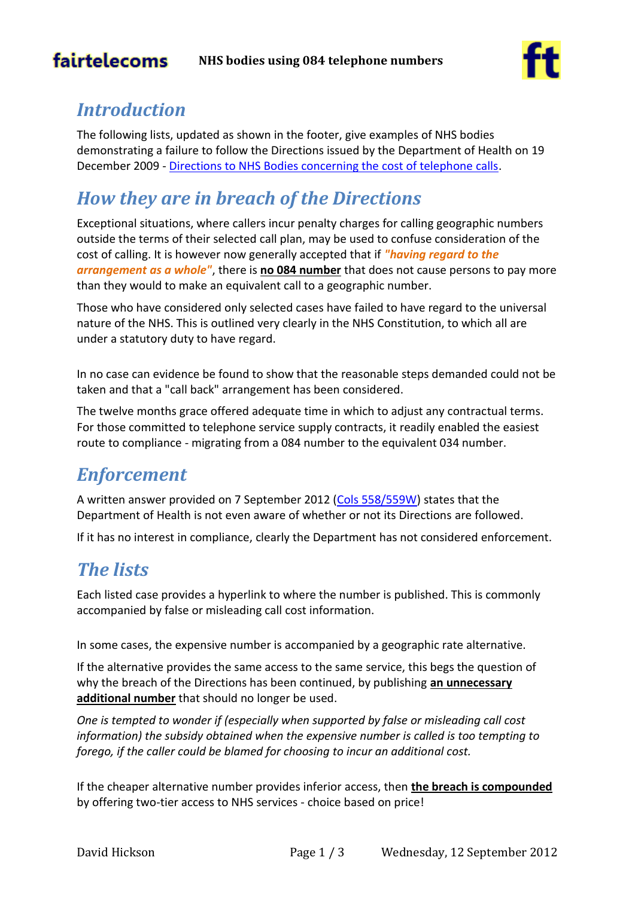# fairtelecoms



## *Introduction*

The following lists, updated as shown in the footer, give examples of NHS bodies demonstrating a failure to follow the Directions issued by the Department of Health on 19 December 2009 - [Directions to NHS Bodies concerning the cost of telephone calls.](http://www.dh.gov.uk/prod_consum_dh/groups/dh_digitalassets/@dh/@en/documents/digitalasset/dh_110479.pdf)

# *How they are in breach of the Directions*

Exceptional situations, where callers incur penalty charges for calling geographic numbers outside the terms of their selected call plan, may be used to confuse consideration of the cost of calling. It is however now generally accepted that if *"having regard to the arrangement as a whole"*, there is **no 084 number** that does not cause persons to pay more than they would to make an equivalent call to a geographic number.

Those who have considered only selected cases have failed to have regard to the universal nature of the NHS. This is outlined very clearly in the NHS Constitution, to which all are under a statutory duty to have regard.

In no case can evidence be found to show that the reasonable steps demanded could not be taken and that a "call back" arrangement has been considered.

The twelve months grace offered adequate time in which to adjust any contractual terms. For those committed to telephone service supply contracts, it readily enabled the easiest route to compliance - migrating from a 084 number to the equivalent 034 number.

### *Enforcement*

A written answer provided on 7 September 2012 [\(Cols 558/559W\)](http://www.publications.parliament.uk/pa/cm201213/cmhansrd/cm120907/text/120907w0005.htm#subhd_174) states that the Department of Health is not even aware of whether or not its Directions are followed.

If it has no interest in compliance, clearly the Department has not considered enforcement.

### *The lists*

Each listed case provides a hyperlink to where the number is published. This is commonly accompanied by false or misleading call cost information.

In some cases, the expensive number is accompanied by a geographic rate alternative.

If the alternative provides the same access to the same service, this begs the question of why the breach of the Directions has been continued, by publishing **an unnecessary additional number** that should no longer be used.

*One is tempted to wonder if (especially when supported by false or misleading call cost information) the subsidy obtained when the expensive number is called is too tempting to forego, if the caller could be blamed for choosing to incur an additional cost.*

If the cheaper alternative number provides inferior access, then **the breach is compounded** by offering two-tier access to NHS services - choice based on price!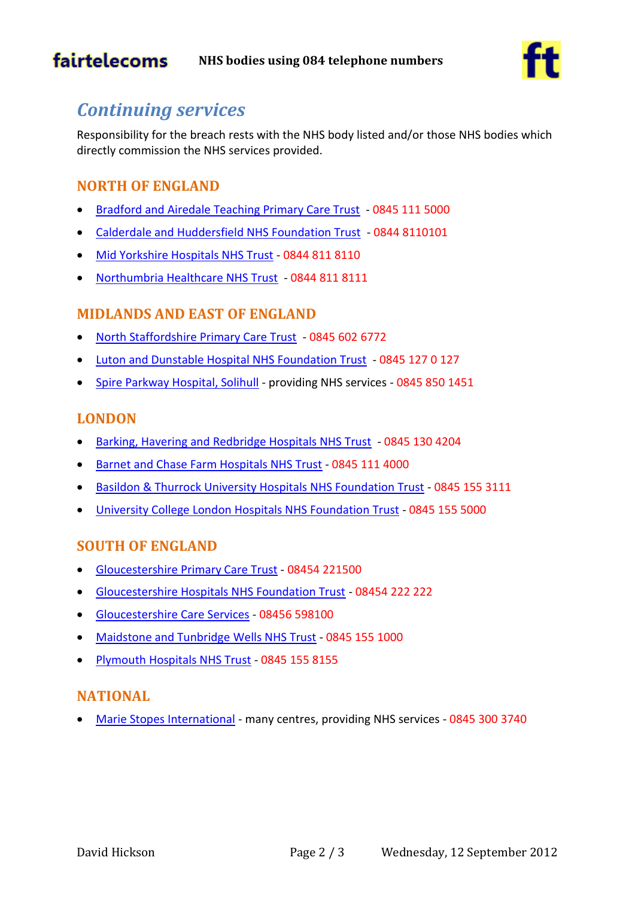

## *Continuing services*

Responsibility for the breach rests with the NHS body listed and/or those NHS bodies which directly commission the NHS services provided.

#### **NORTH OF ENGLAND**

- [Bradford and Airedale Teaching Primary Care Trust](http://www.bradford.nhs.uk/about-us/contact-us/)  0845 111 5000
- [Calderdale and Huddersfield NHS Foundation Trust](http://www.cht.nhs.uk/contact-us/)  0844 8110101
- [Mid Yorkshire Hospitals NHS Trust](http://www.midyorks.nhs.uk/main.cfm?type=CU) 0844 811 8110
- [Northumbria Healthcare NHS Trust](http://www.northumbria.nhs.uk/contact-us)  0844 811 8111

#### **MIDLANDS AND EAST OF ENGLAND**

- [North Staffordshire Primary Care Trust](http://www.northstaffordshire.nhs.uk/contact-us/?nhsns=wnviojui)  0845 602 6772
- [Luton and Dunstable Hospital NHS Foundation Trust](https://www.ldh.nhs.uk/Contact_Us.htm)  0845 127 0 127
- [Spire Parkway Hospital, Solihull](http://www.spirehealthcare.com/parkway/) providing NHS services 0845 850 1451

#### **LONDON**

- [Barking, Havering and Redbridge Hospitals NHS Trust](http://www.bhrhospitals.nhs.uk/about-us/our-locations.htm)  0845 130 4204
- [Barnet and Chase Farm Hospitals NHS Trust](http://www.bcf.nhs.uk/for_patients/contact_us/index) 0845 111 4000
- [Basildon & Thurrock University Hospitals NHS Foundation Trust](http://www.basildonandthurrock.nhs.uk/index.php?option=com_content&view=article&id=231&Itemid=733) 0845 155 3111
- [University College London Hospitals NHS Foundation Trust](http://www.uclh.org/aboutus/Pages/ContactUs.aspx) 0845 155 5000

#### **SOUTH OF ENGLAND**

- [Gloucestershire Primary Care Trust](http://www.nhsglos.nhs.uk/your-local-nhs/about-nhs-gloucestershire/contact-us/) 08454 221500
- [Gloucestershire Hospitals NHS Foundation Trust](http://www.gloshospitals.org.uk/en/Contact-Us/) 08454 222 222
- [Gloucestershire Care Services](http://www.glospct.nhs.uk/content/contact.html) 08456 598100
- [Maidstone and Tunbridge](http://www.mtw.nhs.uk/contact/) Wells NHS Trust 0845 155 1000
- [Plymouth Hospitals NHS Trust](http://www.plymouthhospitals.nhs.uk/ourorganisation/contactus/Pages/ContactUs.aspx) 0845 155 8155

#### **NATIONAL**

[Marie Stopes International](http://www.nhs.uk/Services/Trusts/HospitalsAndClinics/DefaultView.aspx?id=486) - many centres, providing NHS services - 0845 300 3740